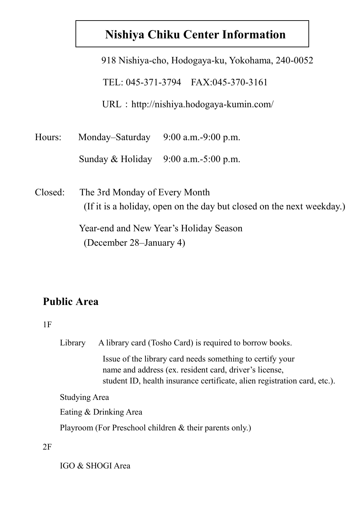# **Nishiya Chiku Center Information**

|         | 918 Nishiya-cho, Hodogaya-ku, Yokohama, 240-0052                      |  |  |  |  |  |
|---------|-----------------------------------------------------------------------|--|--|--|--|--|
|         | TEL: 045-371-3794 FAX:045-370-3161                                    |  |  |  |  |  |
|         | $URL : http://nishiya.hodogaya-kumin.com/$                            |  |  |  |  |  |
| Hours:  | Monday–Saturday<br>$9:00$ a.m.-9:00 p.m.                              |  |  |  |  |  |
|         | Sunday & Holiday $9:00$ a.m.-5:00 p.m.                                |  |  |  |  |  |
| Closed: | The 3rd Monday of Every Month                                         |  |  |  |  |  |
|         | (If it is a holiday, open on the day but closed on the next weekday.) |  |  |  |  |  |

Year-end and New Year's Holiday Season (December 28–January 4)

## **Public Area**

#### 1F

Library A library card (Tosho Card) is required to borrow books.

 Issue of the library card needs something to certify your name and address (ex. resident card, driver's license, student ID, health insurance certificate, alien registration card, etc.).

Studying Area

Eating & Drinking Area

Playroom (For Preschool children & their parents only.)

2F

IGO & SHOGI Area